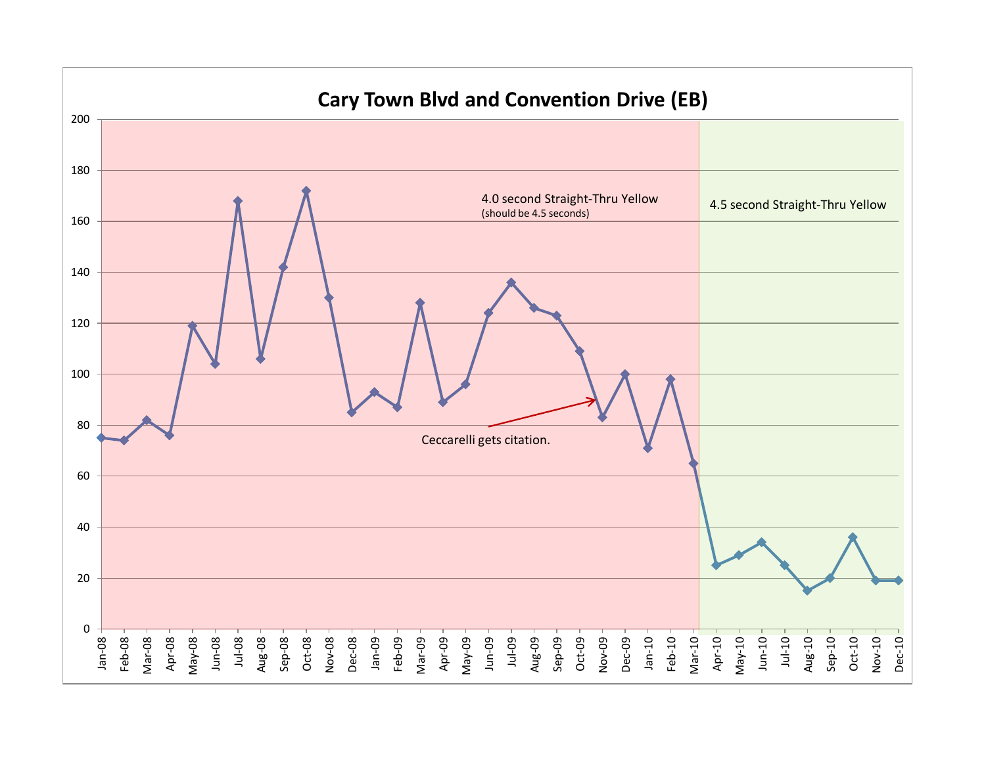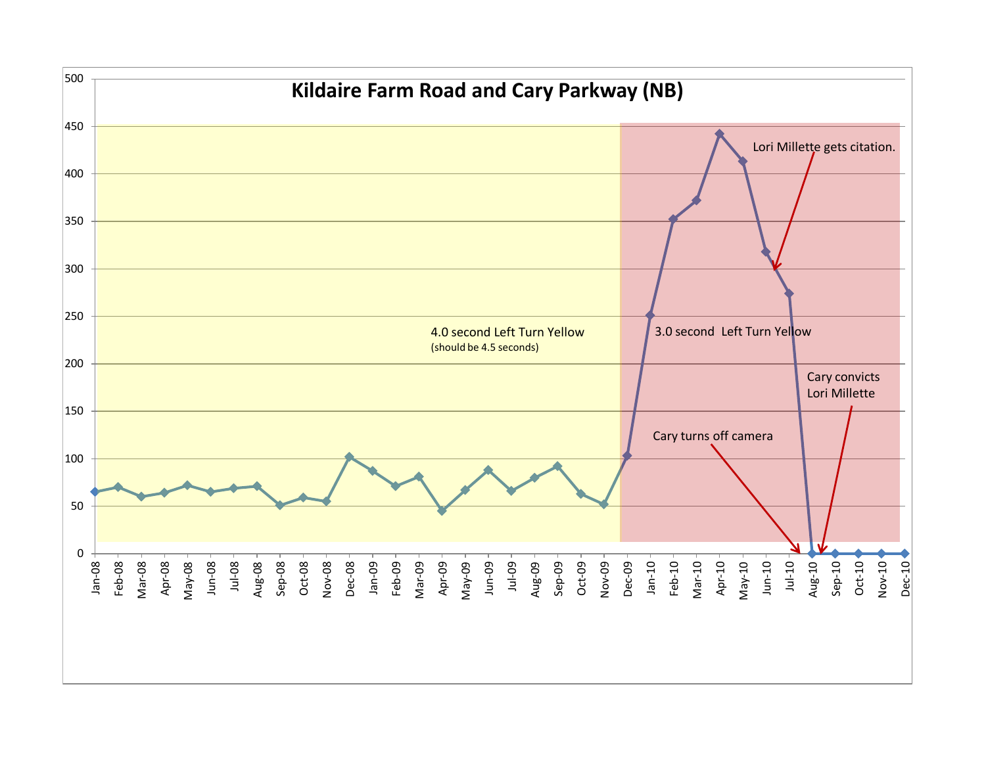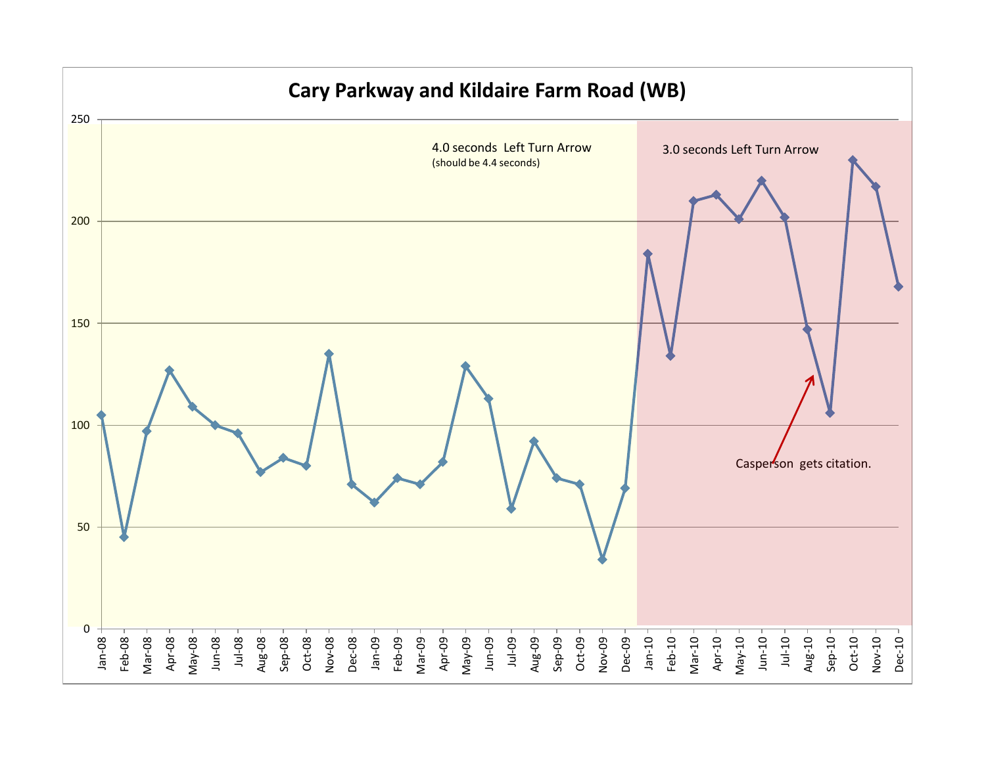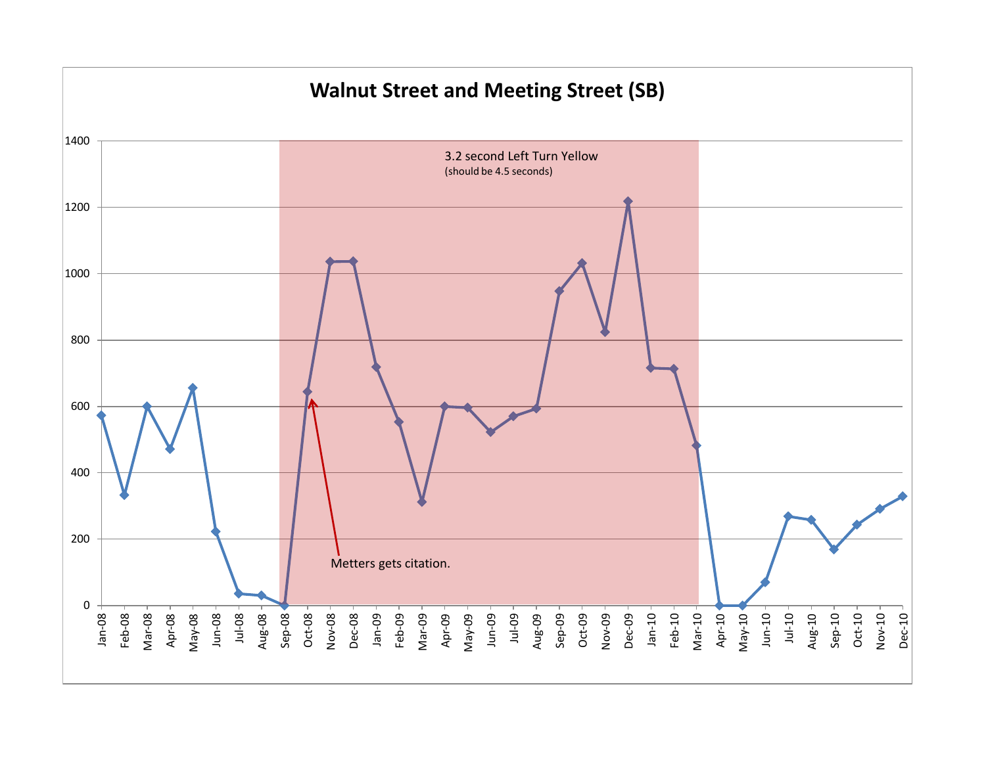